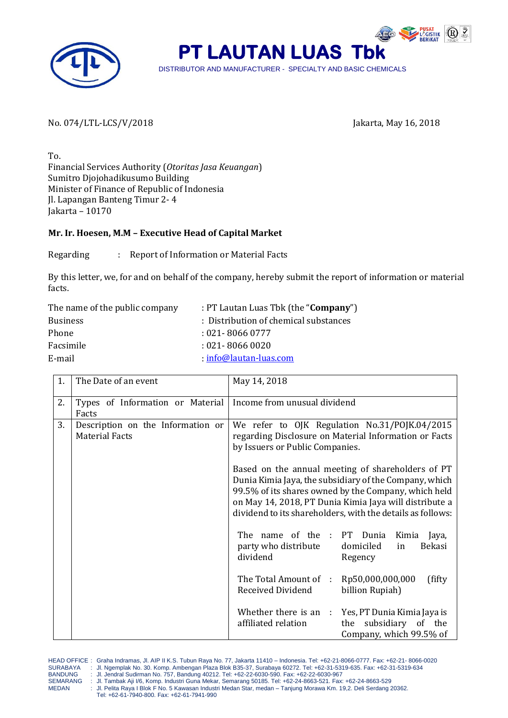



No. 074/LTL-LCS/V/2018 Jakarta, May 16, 2018

To. Financial Services Authority (*Otoritas Jasa Keuangan*) Sumitro Djojohadikusumo Building Minister of Finance of Republic of Indonesia Jl. Lapangan Banteng Timur 2- 4 Jakarta – 10170

## **Mr. Ir. Hoesen, M.M – Executive Head of Capital Market**

Regarding : Report of Information or Material Facts

By this letter, we, for and on behalf of the company, hereby submit the report of information or material facts.

| : PT Lautan Luas Tbk (the " <b>Company</b> ") |
|-----------------------------------------------|
| : Distribution of chemical substances         |
| $:021 - 80660777$                             |
| $:021 - 80660020$                             |
| $info@lautan-luas.com$                        |
|                                               |

| 1. | The Date of an event                                       | May 14, 2018                                                                                                                                                                                                                                                                                |
|----|------------------------------------------------------------|---------------------------------------------------------------------------------------------------------------------------------------------------------------------------------------------------------------------------------------------------------------------------------------------|
| 2. | Types of Information or Material<br>Facts                  | Income from unusual dividend                                                                                                                                                                                                                                                                |
| 3. | Description on the Information or<br><b>Material Facts</b> | We refer to OJK Regulation No.31/POJK.04/2015<br>regarding Disclosure on Material Information or Facts<br>by Issuers or Public Companies.                                                                                                                                                   |
|    |                                                            | Based on the annual meeting of shareholders of PT<br>Dunia Kimia Jaya, the subsidiary of the Company, which<br>99.5% of its shares owned by the Company, which held<br>on May 14, 2018, PT Dunia Kimia Jaya will distribute a<br>dividend to its shareholders, with the details as follows: |
|    |                                                            | name of the : PT Dunia<br>The<br>Kimia<br>Jaya,<br>party who distribute<br>domiciled<br>Bekasi<br>in<br>dividend<br>Regency                                                                                                                                                                 |
|    |                                                            | The Total Amount of :<br>Rp50,000,000,000<br>(fifty)<br>Received Dividend<br>billion Rupiah)                                                                                                                                                                                                |
|    |                                                            | Whether there is an : Yes, PT Dunia Kimia Jaya is<br>affiliated relation<br>subsidiary of the<br>the<br>Company, which 99.5% of                                                                                                                                                             |

MEDAN : Jl. Pelita Raya I Blok F No. 5 Kawasan Industri Medan Star, medan – Tanjung Morawa Km. 19,2. Deli Serdang 20362. Tel: +62-61-7940-800. Fax: +62-61-7941-990